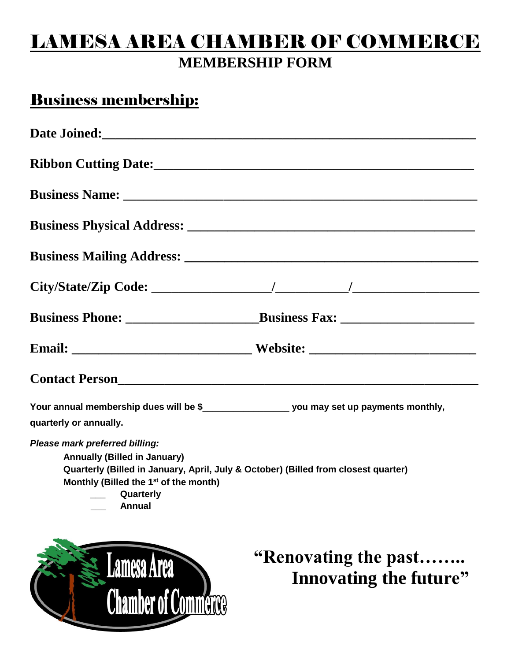## LAMESA AREA CHAMBER OF COMMERCE **MEMBERSHIP FORM**

### Business membership:

54

| Date Joined:<br><u> Letter and the set of the set of the set of the set of the set of the set of the set of the set of the set of the set of the set of the set of the set of the set of the set of the set of the set of the set </u>                |                                                       |
|-------------------------------------------------------------------------------------------------------------------------------------------------------------------------------------------------------------------------------------------------------|-------------------------------------------------------|
|                                                                                                                                                                                                                                                       |                                                       |
|                                                                                                                                                                                                                                                       |                                                       |
|                                                                                                                                                                                                                                                       |                                                       |
|                                                                                                                                                                                                                                                       |                                                       |
|                                                                                                                                                                                                                                                       |                                                       |
|                                                                                                                                                                                                                                                       |                                                       |
|                                                                                                                                                                                                                                                       |                                                       |
| Contact Person<br><u>Contact Person</u>                                                                                                                                                                                                               |                                                       |
| Your annual membership dues will be \$________________________ you may set up payments monthly,<br>quarterly or annually.                                                                                                                             |                                                       |
| Please mark preferred billing:<br><b>Annually (Billed in January)</b><br>Quarterly (Billed in January, April, July & October) (Billed from closest quarter)<br>Monthly (Billed the 1 <sup>st</sup> of the month)<br><b>Quarterly</b><br><b>Annual</b> |                                                       |
| <b>Lamesa Area</b><br><b>Chamber of Commerce</b>                                                                                                                                                                                                      | "Renovating the past<br><b>Innovating the future"</b> |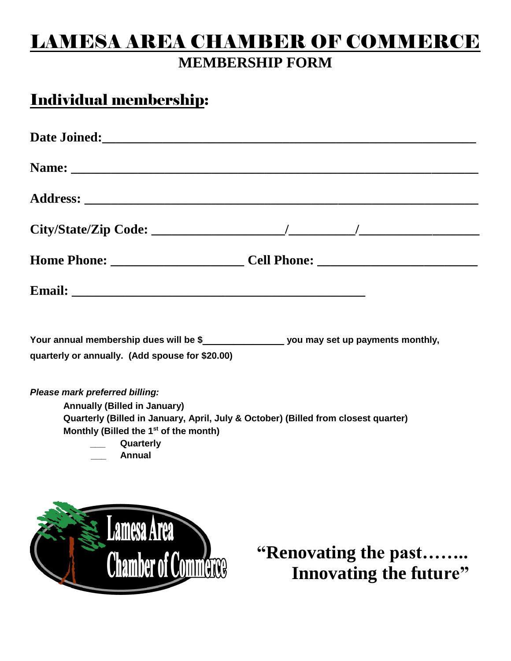## LAMESA AREA CHAMBER OF COMMERCE **MEMBERSHIP FORM**

## Individual membership:

| quarterly or annually. (Add spouse for \$20.00)                                                                                                                                                                                                 |                                                       |
|-------------------------------------------------------------------------------------------------------------------------------------------------------------------------------------------------------------------------------------------------|-------------------------------------------------------|
| Please mark preferred billing:<br><b>Annually (Billed in January)</b><br>Quarterly (Billed in January, April, July & October) (Billed from closest quarter)<br>Monthly (Billed the 1 <sup>st</sup> of the month)<br>___ Quarterly<br>___ Annual |                                                       |
| <b>Lamesa Area</b><br><b>Chamber of Commerce</b>                                                                                                                                                                                                | "Renovating the past<br><b>Innovating the future"</b> |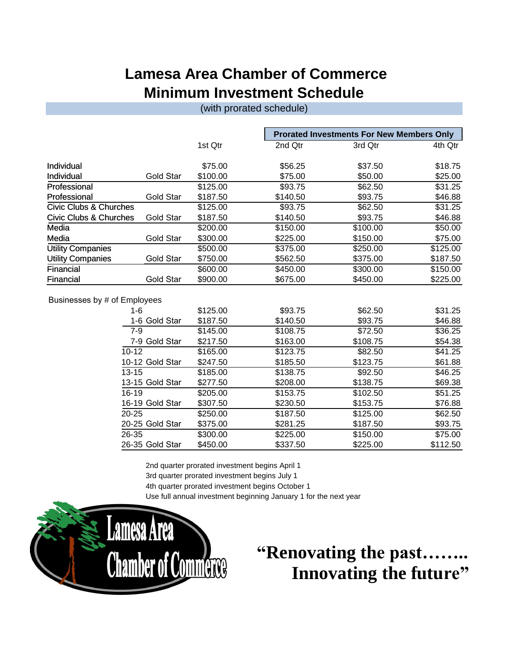#### **Lamesa Area Chamber of Commerce Minimum Investment Schedule**

(with prorated schedule)

| 1st Qtr<br>\$75.00                   | 2nd Qtr                                                               | 3rd Qtr  | 4th Qtr  |
|--------------------------------------|-----------------------------------------------------------------------|----------|----------|
|                                      |                                                                       |          |          |
|                                      | \$56.25                                                               | \$37.50  | \$18.75  |
| \$100.00                             | \$75.00                                                               | \$50.00  | \$25.00  |
| \$125.00                             | \$93.75                                                               | \$62.50  | \$31.25  |
| \$187.50                             | \$140.50                                                              | \$93.75  | \$46.88  |
| \$125.00                             | \$93.75                                                               | \$62.50  | \$31.25  |
| \$187.50                             | \$140.50                                                              | \$93.75  | \$46.88  |
| \$200.00                             | \$150.00                                                              | \$100.00 | \$50.00  |
| \$300.00                             | \$225.00                                                              | \$150.00 | \$75.00  |
| \$500.00                             | \$375.00                                                              | \$250.00 | \$125.00 |
| \$750.00                             | \$562.50                                                              | \$375.00 | \$187.50 |
| \$600.00                             | \$450.00                                                              | \$300.00 | \$150.00 |
| \$900.00                             | \$675.00                                                              | \$450.00 | \$225.00 |
| <b>Gold Star</b><br><b>Gold Star</b> | <b>Gold Star</b><br><b>Gold Star</b><br><b>Gold Star</b><br>Gold Star |          |          |

| , Lupio yooo    |          |          |          |          |
|-----------------|----------|----------|----------|----------|
| 1-6             | \$125.00 | \$93.75  | \$62.50  | \$31.25  |
| 1-6 Gold Star   | \$187.50 | \$140.50 | \$93.75  | \$46.88  |
| 7-9             | \$145.00 | \$108.75 | \$72.50  | \$36.25  |
| 7-9 Gold Star   | \$217.50 | \$163.00 | \$108.75 | \$54.38  |
| $10 - 12$       | \$165.00 | \$123.75 | \$82.50  | \$41.25  |
| 10-12 Gold Star | \$247.50 | \$185.50 | \$123.75 | \$61.88  |
| $13 - 15$       | \$185.00 | \$138.75 | \$92.50  | \$46.25  |
| 13-15 Gold Star | \$277.50 | \$208.00 | \$138.75 | \$69.38  |
| $16-19$         | \$205.00 | \$153.75 | \$102.50 | \$51.25  |
| 16-19 Gold Star | \$307.50 | \$230.50 | \$153.75 | \$76.88  |
| $20 - 25$       | \$250.00 | \$187.50 | \$125.00 | \$62.50  |
| 20-25 Gold Star | \$375.00 | \$281.25 | \$187.50 | \$93.75  |
| 26-35           | \$300.00 | \$225.00 | \$150.00 | \$75.00  |
| 26-35 Gold Star | \$450.00 | \$337.50 | \$225.00 | \$112.50 |

2nd quarter prorated investment begins April 1 3rd quarter prorated investment begins July 1 4th quarter prorated investment begins October 1 Use full annual investment beginning January 1 for the next year



# **"Renovating the past…….. Innovating the future"**